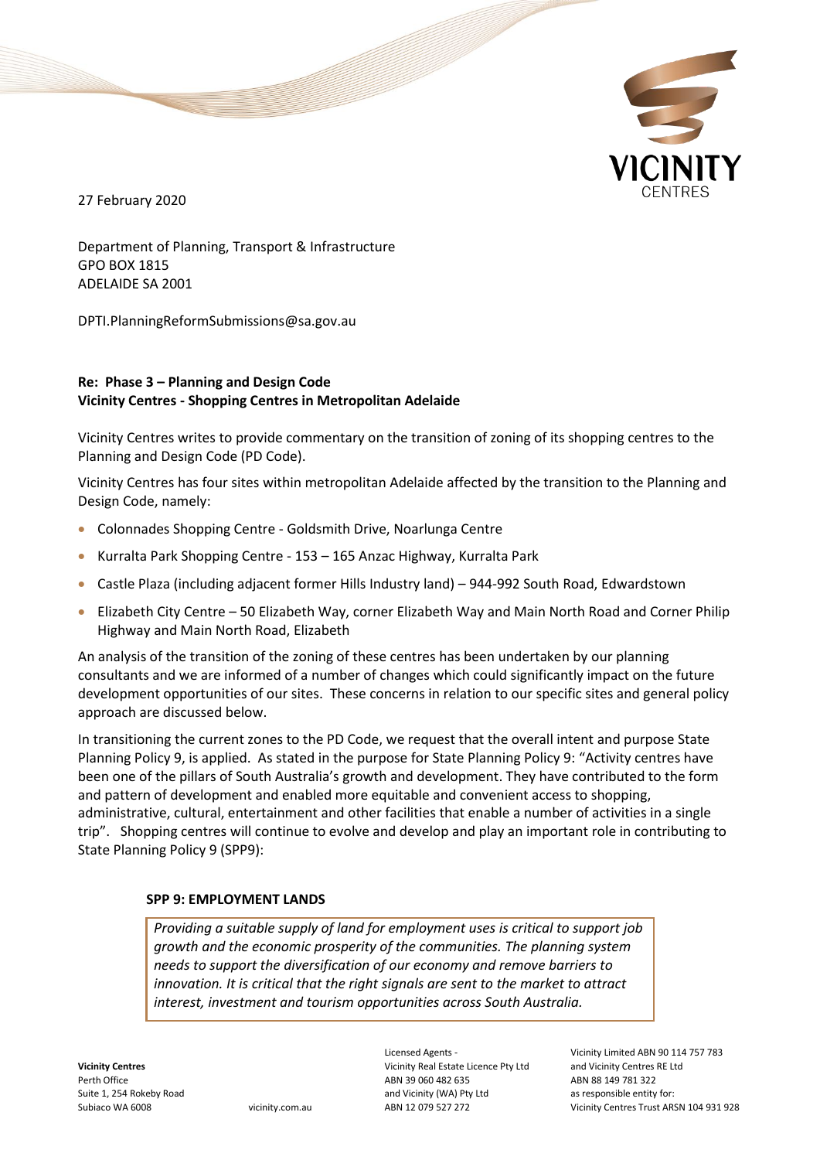

27 February 2020

Department of Planning, Transport & Infrastructure GPO BOX 1815 ADELAIDE SA 2001

DPTI.PlanningReformSubmissions@sa.gov.au

#### **Re: Phase 3 – Planning and Design Code Vicinity Centres - Shopping Centres in Metropolitan Adelaide**

Vicinity Centres writes to provide commentary on the transition of zoning of its shopping centres to the Planning and Design Code (PD Code).

Vicinity Centres has four sites within metropolitan Adelaide affected by the transition to the Planning and Design Code, namely:

- Colonnades Shopping Centre Goldsmith Drive, Noarlunga Centre
- Kurralta Park Shopping Centre 153 165 Anzac Highway, Kurralta Park
- Castle Plaza (including adjacent former Hills Industry land) 944-992 South Road, Edwardstown
- Elizabeth City Centre 50 Elizabeth Way, corner Elizabeth Way and Main North Road and Corner Philip Highway and Main North Road, Elizabeth

An analysis of the transition of the zoning of these centres has been undertaken by our planning consultants and we are informed of a number of changes which could significantly impact on the future development opportunities of our sites. These concerns in relation to our specific sites and general policy approach are discussed below.

In transitioning the current zones to the PD Code, we request that the overall intent and purpose State Planning Policy 9, is applied. As stated in the purpose for State Planning Policy 9: "Activity centres have been one of the pillars of South Australia's growth and development. They have contributed to the form and pattern of development and enabled more equitable and convenient access to shopping, administrative, cultural, entertainment and other facilities that enable a number of activities in a single trip". Shopping centres will continue to evolve and develop and play an important role in contributing to State Planning Policy 9 (SPP9):

#### **SPP 9: EMPLOYMENT LANDS**

*Providing a suitable supply of land for employment uses is critical to support job growth and the economic prosperity of the communities. The planning system needs to support the diversification of our economy and remove barriers to innovation. It is critical that the right signals are sent to the market to attract interest, investment and tourism opportunities across South Australia.* 

Licensed Agents - Vicinity Real Estate Licence Pty Ltd ABN 39 060 482 635 and Vicinity (WA) Pty Ltd ABN 12 079 527 272

Vicinity Limited ABN 90 114 757 783 and Vicinity Centres RE Ltd ABN 88 149 781 322 as responsible entity for: Vicinity Centres Trust ARSN 104 931 928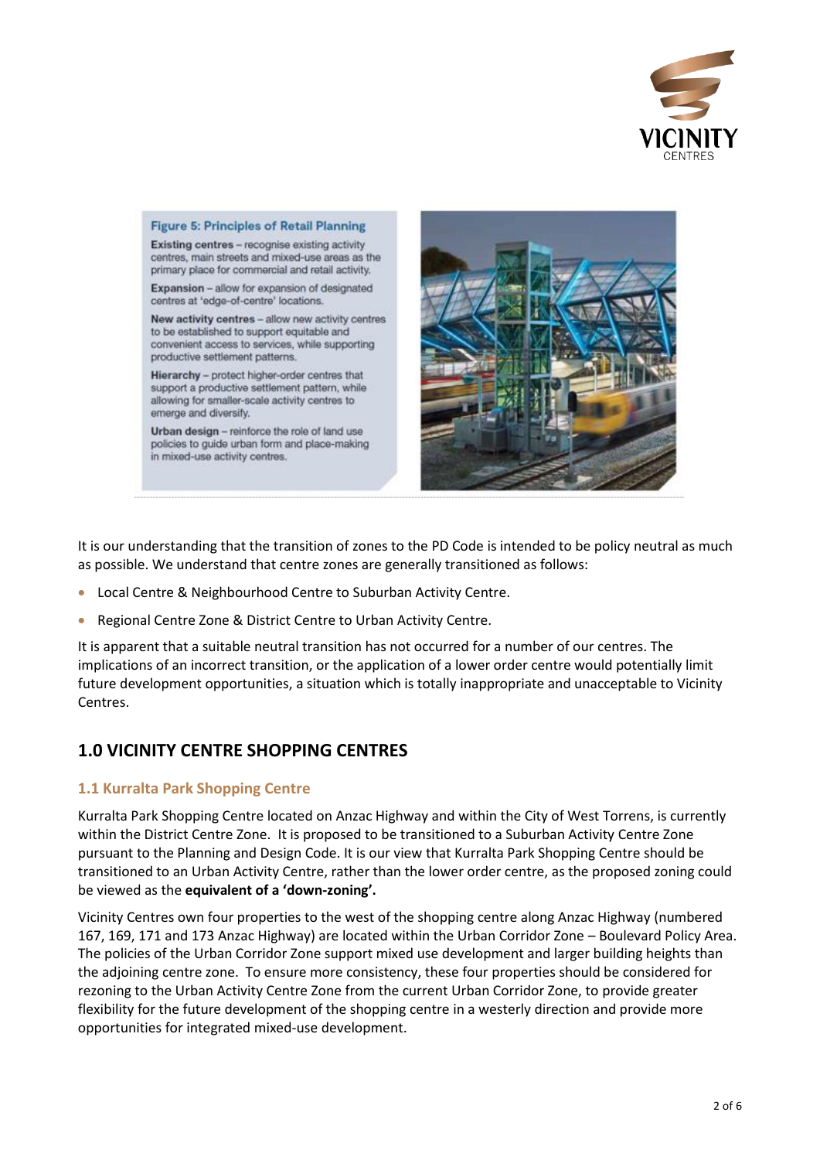



It is our understanding that the transition of zones to the PD Code is intended to be policy neutral as much as possible. We understand that centre zones are generally transitioned as follows:

- Local Centre & Neighbourhood Centre to Suburban Activity Centre.
- Regional Centre Zone & District Centre to Urban Activity Centre.

**Figure 5: Principles of Retail Planning** 

It is apparent that a suitable neutral transition has not occurred for a number of our centres. The implications of an incorrect transition, or the application of a lower order centre would potentially limit future development opportunities, a situation which is totally inappropriate and unacceptable to Vicinity Centres.

# **1.0 VICINITY CENTRE SHOPPING CENTRES**

#### **1.1 Kurralta Park Shopping Centre**

Kurralta Park Shopping Centre located on Anzac Highway and within the City of West Torrens, is currently within the District Centre Zone. It is proposed to be transitioned to a Suburban Activity Centre Zone pursuant to the Planning and Design Code. It is our view that Kurralta Park Shopping Centre should be transitioned to an Urban Activity Centre, rather than the lower order centre, as the proposed zoning could be viewed as the **equivalent of a 'down-zoning'.**

Vicinity Centres own four properties to the west of the shopping centre along Anzac Highway (numbered 167, 169, 171 and 173 Anzac Highway) are located within the Urban Corridor Zone – Boulevard Policy Area. The policies of the Urban Corridor Zone support mixed use development and larger building heights than the adjoining centre zone. To ensure more consistency, these four properties should be considered for rezoning to the Urban Activity Centre Zone from the current Urban Corridor Zone, to provide greater flexibility for the future development of the shopping centre in a westerly direction and provide more opportunities for integrated mixed-use development.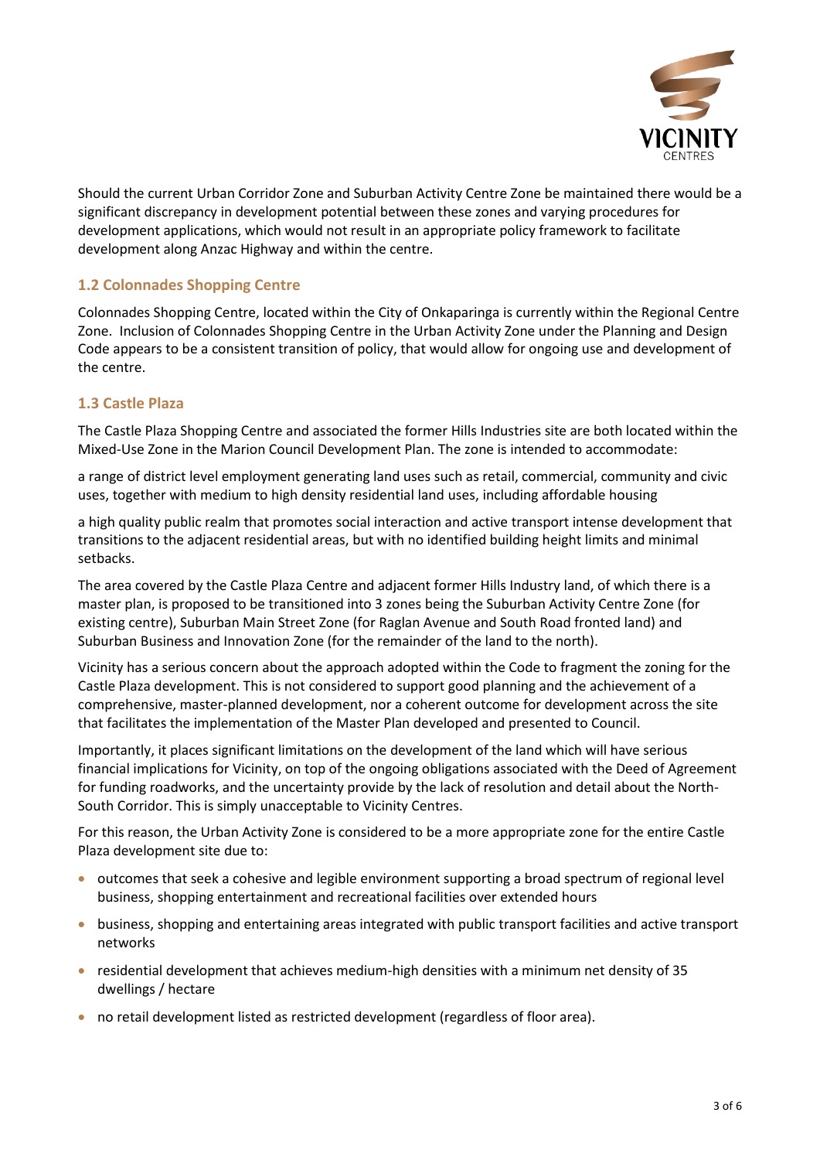

Should the current Urban Corridor Zone and Suburban Activity Centre Zone be maintained there would be a significant discrepancy in development potential between these zones and varying procedures for development applications, which would not result in an appropriate policy framework to facilitate development along Anzac Highway and within the centre.

# **1.2 Colonnades Shopping Centre**

Colonnades Shopping Centre, located within the City of Onkaparinga is currently within the Regional Centre Zone. Inclusion of Colonnades Shopping Centre in the Urban Activity Zone under the Planning and Design Code appears to be a consistent transition of policy, that would allow for ongoing use and development of the centre.

## **1.3 Castle Plaza**

The Castle Plaza Shopping Centre and associated the former Hills Industries site are both located within the Mixed-Use Zone in the Marion Council Development Plan. The zone is intended to accommodate:

a range of district level employment generating land uses such as retail, commercial, community and civic uses, together with medium to high density residential land uses, including affordable housing

a high quality public realm that promotes social interaction and active transport intense development that transitions to the adjacent residential areas, but with no identified building height limits and minimal setbacks.

The area covered by the Castle Plaza Centre and adjacent former Hills Industry land, of which there is a master plan, is proposed to be transitioned into 3 zones being the Suburban Activity Centre Zone (for existing centre), Suburban Main Street Zone (for Raglan Avenue and South Road fronted land) and Suburban Business and Innovation Zone (for the remainder of the land to the north).

Vicinity has a serious concern about the approach adopted within the Code to fragment the zoning for the Castle Plaza development. This is not considered to support good planning and the achievement of a comprehensive, master-planned development, nor a coherent outcome for development across the site that facilitates the implementation of the Master Plan developed and presented to Council.

Importantly, it places significant limitations on the development of the land which will have serious financial implications for Vicinity, on top of the ongoing obligations associated with the Deed of Agreement for funding roadworks, and the uncertainty provide by the lack of resolution and detail about the North-South Corridor. This is simply unacceptable to Vicinity Centres.

For this reason, the Urban Activity Zone is considered to be a more appropriate zone for the entire Castle Plaza development site due to:

- outcomes that seek a cohesive and legible environment supporting a broad spectrum of regional level business, shopping entertainment and recreational facilities over extended hours
- business, shopping and entertaining areas integrated with public transport facilities and active transport networks
- residential development that achieves medium-high densities with a minimum net density of 35 dwellings / hectare
- no retail development listed as restricted development (regardless of floor area).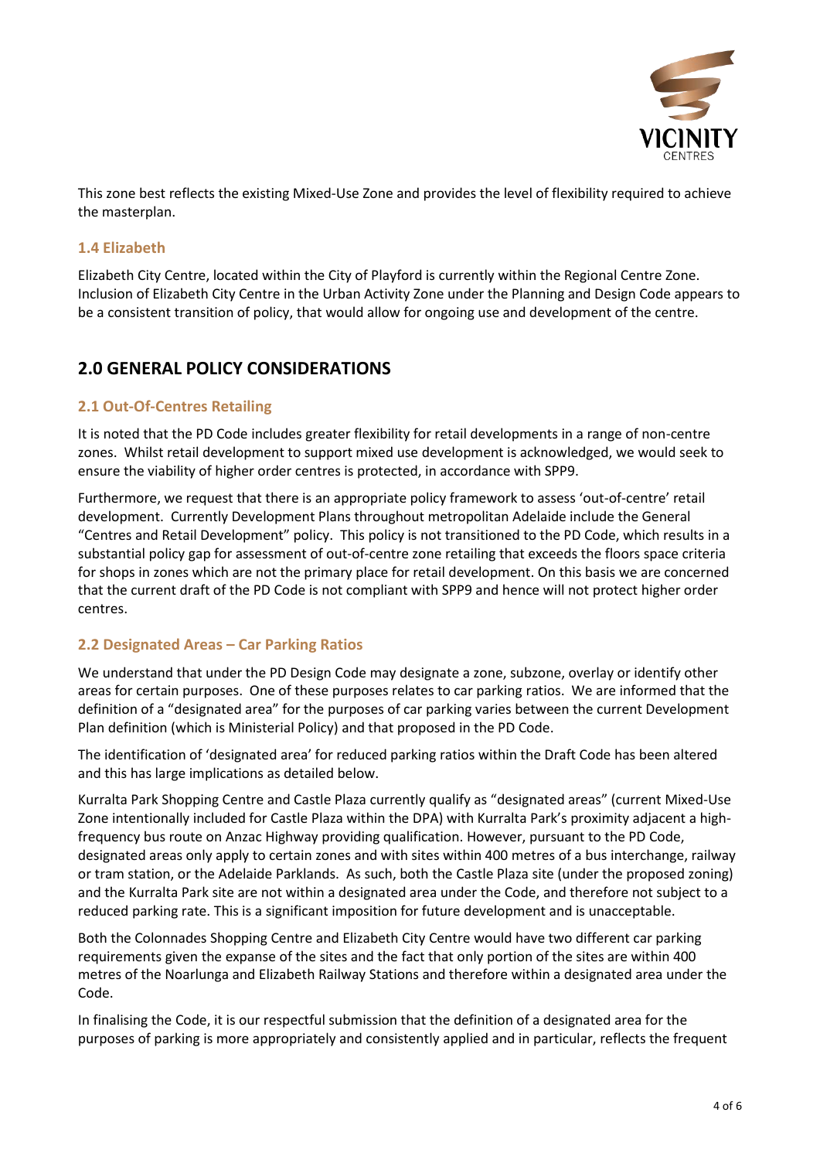

This zone best reflects the existing Mixed-Use Zone and provides the level of flexibility required to achieve the masterplan.

## **1.4 Elizabeth**

Elizabeth City Centre, located within the City of Playford is currently within the Regional Centre Zone. Inclusion of Elizabeth City Centre in the Urban Activity Zone under the Planning and Design Code appears to be a consistent transition of policy, that would allow for ongoing use and development of the centre.

# **2.0 GENERAL POLICY CONSIDERATIONS**

## **2.1 Out-Of-Centres Retailing**

It is noted that the PD Code includes greater flexibility for retail developments in a range of non-centre zones. Whilst retail development to support mixed use development is acknowledged, we would seek to ensure the viability of higher order centres is protected, in accordance with SPP9.

Furthermore, we request that there is an appropriate policy framework to assess 'out-of-centre' retail development. Currently Development Plans throughout metropolitan Adelaide include the General "Centres and Retail Development" policy. This policy is not transitioned to the PD Code, which results in a substantial policy gap for assessment of out-of-centre zone retailing that exceeds the floors space criteria for shops in zones which are not the primary place for retail development. On this basis we are concerned that the current draft of the PD Code is not compliant with SPP9 and hence will not protect higher order centres.

# **2.2 Designated Areas – Car Parking Ratios**

We understand that under the PD Design Code may designate a zone, subzone, overlay or identify other areas for certain purposes. One of these purposes relates to car parking ratios. We are informed that the definition of a "designated area" for the purposes of car parking varies between the current Development Plan definition (which is Ministerial Policy) and that proposed in the PD Code.

The identification of 'designated area' for reduced parking ratios within the Draft Code has been altered and this has large implications as detailed below.

Kurralta Park Shopping Centre and Castle Plaza currently qualify as "designated areas" (current Mixed-Use Zone intentionally included for Castle Plaza within the DPA) with Kurralta Park's proximity adjacent a highfrequency bus route on Anzac Highway providing qualification. However, pursuant to the PD Code, designated areas only apply to certain zones and with sites within 400 metres of a bus interchange, railway or tram station, or the Adelaide Parklands. As such, both the Castle Plaza site (under the proposed zoning) and the Kurralta Park site are not within a designated area under the Code, and therefore not subject to a reduced parking rate. This is a significant imposition for future development and is unacceptable.

Both the Colonnades Shopping Centre and Elizabeth City Centre would have two different car parking requirements given the expanse of the sites and the fact that only portion of the sites are within 400 metres of the Noarlunga and Elizabeth Railway Stations and therefore within a designated area under the Code.

In finalising the Code, it is our respectful submission that the definition of a designated area for the purposes of parking is more appropriately and consistently applied and in particular, reflects the frequent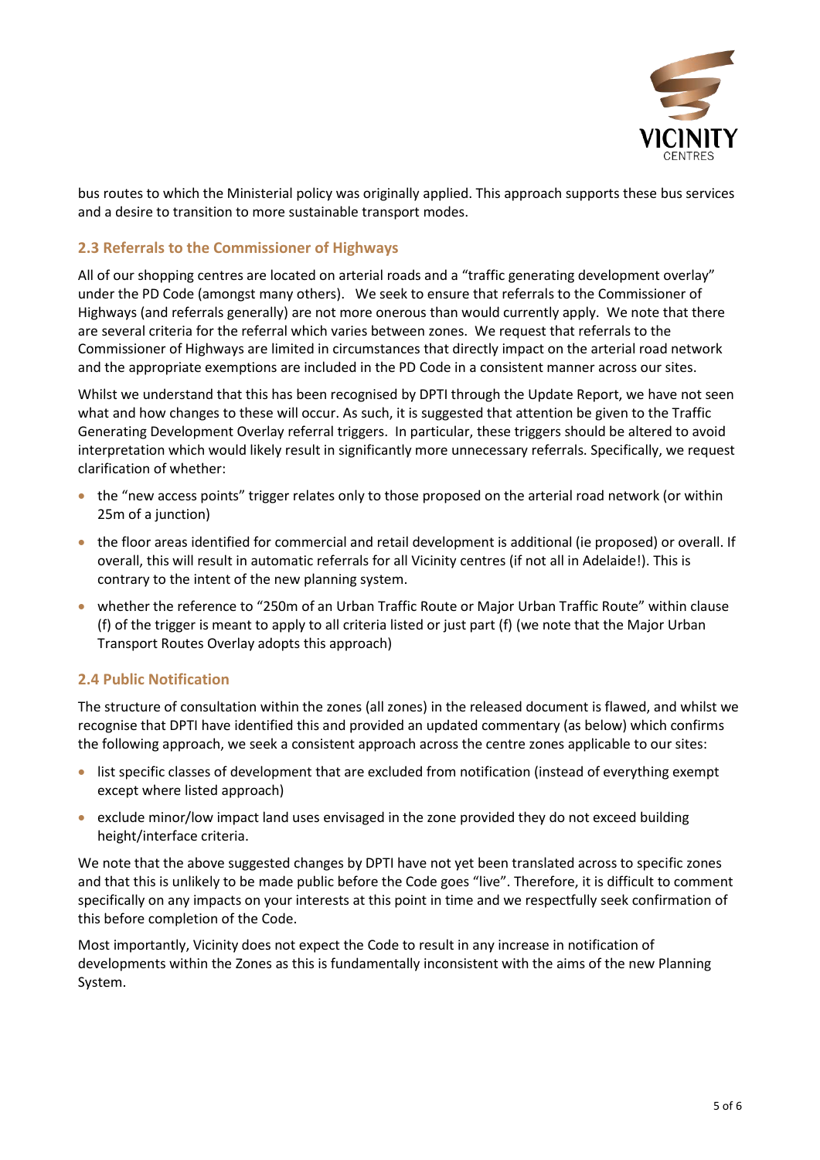

bus routes to which the Ministerial policy was originally applied. This approach supports these bus services and a desire to transition to more sustainable transport modes.

## **2.3 Referrals to the Commissioner of Highways**

All of our shopping centres are located on arterial roads and a "traffic generating development overlay" under the PD Code (amongst many others). We seek to ensure that referrals to the Commissioner of Highways (and referrals generally) are not more onerous than would currently apply. We note that there are several criteria for the referral which varies between zones. We request that referrals to the Commissioner of Highways are limited in circumstances that directly impact on the arterial road network and the appropriate exemptions are included in the PD Code in a consistent manner across our sites.

Whilst we understand that this has been recognised by DPTI through the Update Report, we have not seen what and how changes to these will occur. As such, it is suggested that attention be given to the Traffic Generating Development Overlay referral triggers. In particular, these triggers should be altered to avoid interpretation which would likely result in significantly more unnecessary referrals. Specifically, we request clarification of whether:

- the "new access points" trigger relates only to those proposed on the arterial road network (or within 25m of a junction)
- the floor areas identified for commercial and retail development is additional (ie proposed) or overall. If overall, this will result in automatic referrals for all Vicinity centres (if not all in Adelaide!). This is contrary to the intent of the new planning system.
- whether the reference to "250m of an Urban Traffic Route or Major Urban Traffic Route" within clause (f) of the trigger is meant to apply to all criteria listed or just part (f) (we note that the Major Urban Transport Routes Overlay adopts this approach)

# **2.4 Public Notification**

The structure of consultation within the zones (all zones) in the released document is flawed, and whilst we recognise that DPTI have identified this and provided an updated commentary (as below) which confirms the following approach, we seek a consistent approach across the centre zones applicable to our sites:

- list specific classes of development that are excluded from notification (instead of everything exempt except where listed approach)
- exclude minor/low impact land uses envisaged in the zone provided they do not exceed building height/interface criteria.

We note that the above suggested changes by DPTI have not yet been translated across to specific zones and that this is unlikely to be made public before the Code goes "live". Therefore, it is difficult to comment specifically on any impacts on your interests at this point in time and we respectfully seek confirmation of this before completion of the Code.

Most importantly, Vicinity does not expect the Code to result in any increase in notification of developments within the Zones as this is fundamentally inconsistent with the aims of the new Planning System.